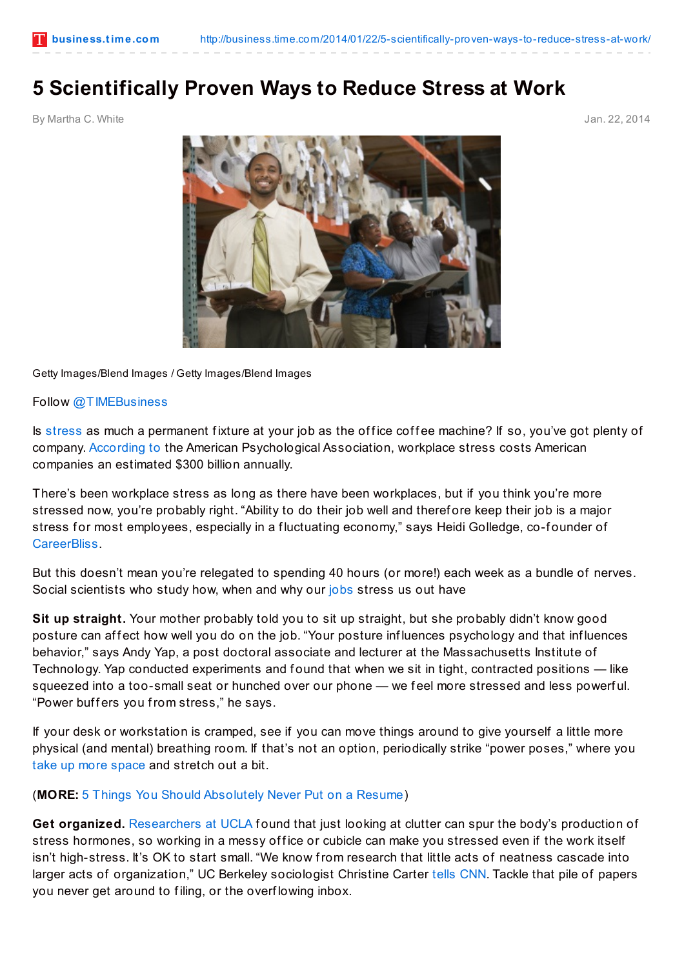## **5 Scientifically Proven Ways to Reduce Stress at Work**

By Martha C. White Jan. 22, 2014



Getty Images/Blend Images / Getty Images/Blend Images

Follow [@TIMEBusiness](http://twitter.com/TIMEBusiness)

Is [stress](http://topics.time.com/stress/) as much a permanent fixture at your job as the office coffee machine? If so, you've got plenty of company. [According](https://www.apa.org/helpcenter/work-stress.aspx) to the American Psychological Association, workplace stress costs American companies an estimated \$300 billion annually.

There's been workplace stress as long as there have been workplaces, but if you think you're more stressed now, you're probably right. "Ability to do their job well and theref ore keep their job is a major stress for most employees, especially in a fluctuating economy," says Heidi Golledge, co-founder of [CareerBliss.](http://careerbliss.com/)

But this doesn't mean you're relegated to spending 40 hours (or more!) each week as a bundle of nerves. Social scientists who study how, when and why our [jobs](http://topics.time.com/jobs/) stress us out have

**Sit up straight.** Your mother probably told you to sit up straight, but she probably didn't know good posture can affect how well you do on the job. "Your posture influences psychology and that influences behavior," says Andy Yap, a post doctoral associate and lecturer at the Massachusetts Institute of Technology. Yap conducted experiments and found that when we sit in tight, contracted positions — like squeezed into a too-small seat or hunched over our phone — we feel more stressed and less powerful. "Power buffers you from stress," he says.

If your desk or workstation is cramped, see if you can move things around to give yourself a little more physical (and mental) breathing room. If that's not an option, periodically strike "power poses," where you take up more [space](http://www.people.hbs.edu/acuddy/in press, carney, cuddy, & yap, psych science.pdf) and stretch out a bit.

## (**MORE:** 5 Things You Should [Absolutely](http://business.time.com/2013/11/11/5-things-you-should-absolutely-never-put-on-a-resume/) Never Put on a Resume)

Get organized. [Researchers](http://magazine.ucla.edu/features/the-clutter-culture/index1.html) at UCLA found that just looking at clutter can spur the body's production of stress hormones, so working in a messy office or cubicle can make you stressed even if the work itself isn't high-stress. It's OK to start small. "We know from research that little acts of neatness cascade into larger acts of organization," UC Berkeley sociologist Christine Carter tells [CNN](http://www.cnn.com/2013/10/01/health/lighten-life). Tackle that pile of papers you never get around to filing, or the overflowing inbox.